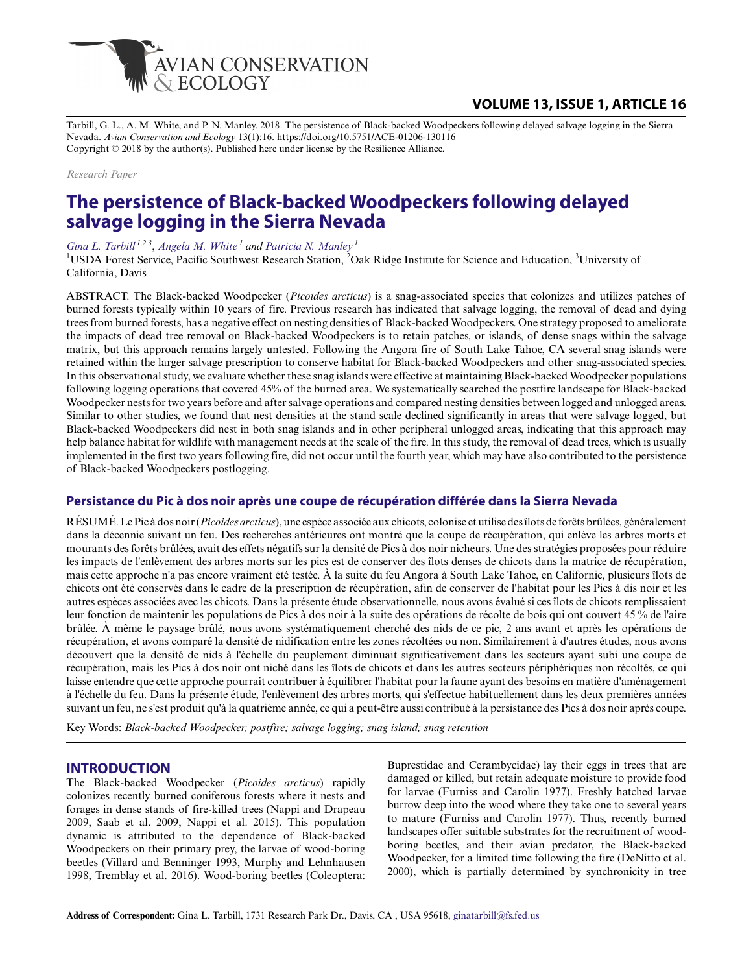

## **VOLUME 13, ISSUE 1, ARTICLE 16**

Tarbill, G. L., A. M. White, and P. N. Manley. 2018. The persistence of Black-backed Woodpeckers following delayed salvage logging in the Sierra Nevada. *Avian Conservation and Ecology* 13(1):16. https://doi.org/10.5751/ACE-01206-130116 Copyright © 2018 by the author(s). Published here under license by the Resilience Alliance.

*Research Paper*

# **The persistence of Black-backed Woodpeckers following delayed salvage logging in the Sierra Nevada**

*[Gina L. Tarbill](mailto:ginatarbill@fs.fed.us) 1,2,3* , *[Angela M. White](mailto:angelawhite@fs.fed.us)<sup>1</sup> and [Patricia N. Manley](mailto:pmanley@fs.fed.us)<sup>1</sup>*

<sup>1</sup>USDA Forest Service, Pacific Southwest Research Station, <sup>2</sup>Oak Ridge Institute for Science and Education, <sup>3</sup>University of California, Davis

ABSTRACT. The Black-backed Woodpecker (*Picoides arcticus*) is a snag-associated species that colonizes and utilizes patches of burned forests typically within 10 years of fire. Previous research has indicated that salvage logging, the removal of dead and dying trees from burned forests, has a negative effect on nesting densities of Black-backed Woodpeckers. One strategy proposed to ameliorate the impacts of dead tree removal on Black-backed Woodpeckers is to retain patches, or islands, of dense snags within the salvage matrix, but this approach remains largely untested. Following the Angora fire of South Lake Tahoe, CA several snag islands were retained within the larger salvage prescription to conserve habitat for Black-backed Woodpeckers and other snag-associated species. In this observational study, we evaluate whether these snag islands were effective at maintaining Black-backed Woodpecker populations following logging operations that covered 45% of the burned area. We systematically searched the postfire landscape for Black-backed Woodpecker nests for two years before and after salvage operations and compared nesting densities between logged and unlogged areas. Similar to other studies, we found that nest densities at the stand scale declined significantly in areas that were salvage logged, but Black-backed Woodpeckers did nest in both snag islands and in other peripheral unlogged areas, indicating that this approach may help balance habitat for wildlife with management needs at the scale of the fire. In this study, the removal of dead trees, which is usually implemented in the first two years following fire, did not occur until the fourth year, which may have also contributed to the persistence of Black-backed Woodpeckers postlogging.

## **Persistance du Pic à dos noir après une coupe de récupération différée dans la Sierra Nevada**

RÉSUMÉ. Le Pic à dos noir (*Picoides arcticus*), une espèce associée aux chicots, colonise et utilise des îlots de forêts brûlées, généralement dans la décennie suivant un feu. Des recherches antérieures ont montré que la coupe de récupération, qui enlève les arbres morts et mourants des forêts brûlées, avait des effets négatifs sur la densité de Pics à dos noir nicheurs. Une des stratégies proposées pour réduire les impacts de l'enlèvement des arbres morts sur les pics est de conserver des îlots denses de chicots dans la matrice de récupération, mais cette approche n'a pas encore vraiment été testée. À la suite du feu Angora à South Lake Tahoe, en Californie, plusieurs îlots de chicots ont été conservés dans le cadre de la prescription de récupération, afin de conserver de l'habitat pour les Pics à dis noir et les autres espèces associées avec les chicots. Dans la présente étude observationnelle, nous avons évalué si ces îlots de chicots remplissaient leur fonction de maintenir les populations de Pics à dos noir à la suite des opérations de récolte de bois qui ont couvert 45 % de l'aire brûlée. À même le paysage brûlé, nous avons systématiquement cherché des nids de ce pic, 2 ans avant et après les opérations de récupération, et avons comparé la densité de nidification entre les zones récoltées ou non. Similairement à d'autres études, nous avons découvert que la densité de nids à l'échelle du peuplement diminuait significativement dans les secteurs ayant subi une coupe de récupération, mais les Pics à dos noir ont niché dans les îlots de chicots et dans les autres secteurs périphériques non récoltés, ce qui laisse entendre que cette approche pourrait contribuer à équilibrer l'habitat pour la faune ayant des besoins en matière d'aménagement à l'échelle du feu. Dans la présente étude, l'enlèvement des arbres morts, qui s'effectue habituellement dans les deux premières années suivant un feu, ne s'est produit qu'à la quatrième année, ce qui a peut-être aussi contribué à la persistance des Pics à dos noir après coupe.

Key Words: *Black-backed Woodpecker; postfire; salvage logging; snag island; snag retention*

#### **INTRODUCTION**

The Black-backed Woodpecker (*Picoides arcticus*) rapidly colonizes recently burned coniferous forests where it nests and forages in dense stands of fire-killed trees (Nappi and Drapeau 2009, Saab et al. 2009, Nappi et al. 2015). This population dynamic is attributed to the dependence of Black-backed Woodpeckers on their primary prey, the larvae of wood-boring beetles (Villard and Benninger 1993, Murphy and Lehnhausen 1998, Tremblay et al. 2016). Wood-boring beetles (Coleoptera:

Buprestidae and Cerambycidae) lay their eggs in trees that are damaged or killed, but retain adequate moisture to provide food for larvae (Furniss and Carolin 1977). Freshly hatched larvae burrow deep into the wood where they take one to several years to mature (Furniss and Carolin 1977). Thus, recently burned landscapes offer suitable substrates for the recruitment of woodboring beetles, and their avian predator, the Black-backed Woodpecker, for a limited time following the fire (DeNitto et al. 2000), which is partially determined by synchronicity in tree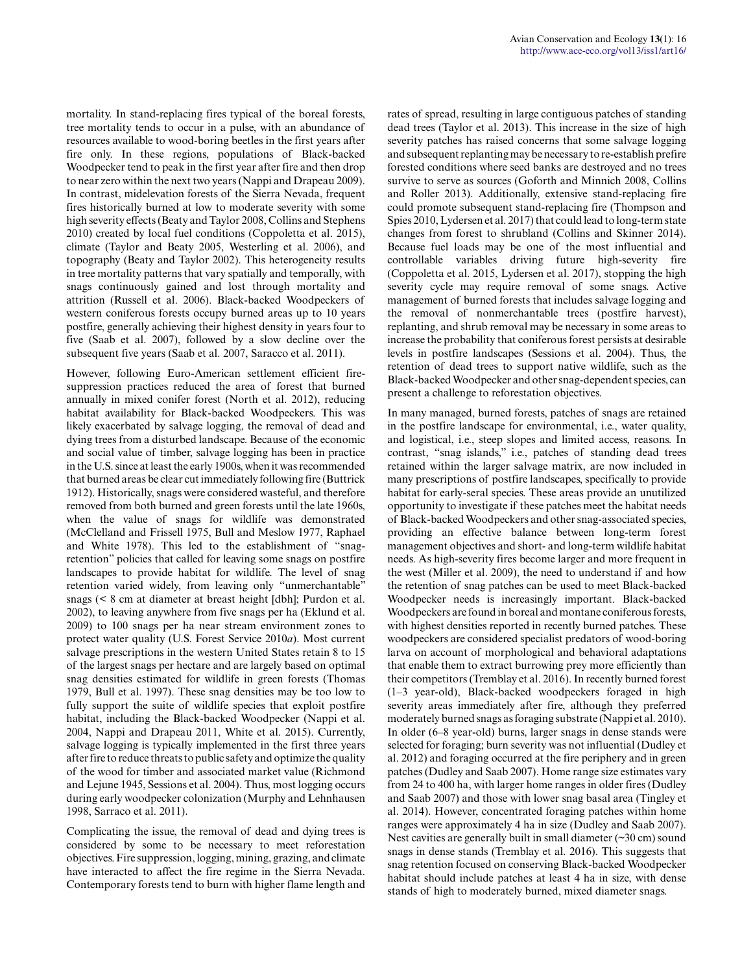mortality. In stand-replacing fires typical of the boreal forests, tree mortality tends to occur in a pulse, with an abundance of resources available to wood-boring beetles in the first years after fire only. In these regions, populations of Black-backed Woodpecker tend to peak in the first year after fire and then drop to near zero within the next two years (Nappi and Drapeau 2009). In contrast, midelevation forests of the Sierra Nevada, frequent fires historically burned at low to moderate severity with some high severity effects (Beaty and Taylor 2008, Collins and Stephens 2010) created by local fuel conditions (Coppoletta et al. 2015), climate (Taylor and Beaty 2005, Westerling et al. 2006), and topography (Beaty and Taylor 2002). This heterogeneity results in tree mortality patterns that vary spatially and temporally, with snags continuously gained and lost through mortality and attrition (Russell et al. 2006). Black-backed Woodpeckers of western coniferous forests occupy burned areas up to 10 years postfire, generally achieving their highest density in years four to five (Saab et al. 2007), followed by a slow decline over the subsequent five years (Saab et al. 2007, Saracco et al. 2011).

However, following Euro-American settlement efficient firesuppression practices reduced the area of forest that burned annually in mixed conifer forest (North et al. 2012), reducing habitat availability for Black-backed Woodpeckers. This was likely exacerbated by salvage logging, the removal of dead and dying trees from a disturbed landscape. Because of the economic and social value of timber, salvage logging has been in practice in the U.S. since at least the early 1900s, when it was recommended that burned areas be clear cut immediately following fire (Buttrick 1912). Historically, snags were considered wasteful, and therefore removed from both burned and green forests until the late 1960s, when the value of snags for wildlife was demonstrated (McClelland and Frissell 1975, Bull and Meslow 1977, Raphael and White 1978). This led to the establishment of "snagretention" policies that called for leaving some snags on postfire landscapes to provide habitat for wildlife. The level of snag retention varied widely, from leaving only "unmerchantable" snags (< 8 cm at diameter at breast height [dbh]; Purdon et al. 2002), to leaving anywhere from five snags per ha (Eklund et al. 2009) to 100 snags per ha near stream environment zones to protect water quality (U.S. Forest Service 2010*a*). Most current salvage prescriptions in the western United States retain 8 to 15 of the largest snags per hectare and are largely based on optimal snag densities estimated for wildlife in green forests (Thomas 1979, Bull et al. 1997). These snag densities may be too low to fully support the suite of wildlife species that exploit postfire habitat, including the Black-backed Woodpecker (Nappi et al. 2004, Nappi and Drapeau 2011, White et al. 2015). Currently, salvage logging is typically implemented in the first three years after fire to reduce threats to public safety and optimize the quality of the wood for timber and associated market value (Richmond and Lejune 1945, Sessions et al. 2004). Thus, most logging occurs during early woodpecker colonization (Murphy and Lehnhausen 1998, Sarraco et al. 2011).

Complicating the issue, the removal of dead and dying trees is considered by some to be necessary to meet reforestation objectives. Fire suppression, logging, mining, grazing, and climate have interacted to affect the fire regime in the Sierra Nevada. Contemporary forests tend to burn with higher flame length and rates of spread, resulting in large contiguous patches of standing dead trees (Taylor et al. 2013). This increase in the size of high severity patches has raised concerns that some salvage logging and subsequent replanting may be necessary to re-establish prefire forested conditions where seed banks are destroyed and no trees survive to serve as sources (Goforth and Minnich 2008, Collins and Roller 2013). Additionally, extensive stand-replacing fire could promote subsequent stand-replacing fire (Thompson and Spies 2010, Lydersen et al. 2017) that could lead to long-term state changes from forest to shrubland (Collins and Skinner 2014). Because fuel loads may be one of the most influential and controllable variables driving future high-severity fire (Coppoletta et al. 2015, Lydersen et al. 2017), stopping the high severity cycle may require removal of some snags. Active management of burned forests that includes salvage logging and the removal of nonmerchantable trees (postfire harvest), replanting, and shrub removal may be necessary in some areas to increase the probability that coniferous forest persists at desirable levels in postfire landscapes (Sessions et al. 2004). Thus, the retention of dead trees to support native wildlife, such as the Black-backed Woodpecker and other snag-dependent species, can present a challenge to reforestation objectives.

In many managed, burned forests, patches of snags are retained in the postfire landscape for environmental, i.e., water quality, and logistical, i.e., steep slopes and limited access, reasons. In contrast, "snag islands," i.e., patches of standing dead trees retained within the larger salvage matrix, are now included in many prescriptions of postfire landscapes, specifically to provide habitat for early-seral species. These areas provide an unutilized opportunity to investigate if these patches meet the habitat needs of Black-backed Woodpeckers and other snag-associated species, providing an effective balance between long-term forest management objectives and short- and long-term wildlife habitat needs. As high-severity fires become larger and more frequent in the west (Miller et al. 2009), the need to understand if and how the retention of snag patches can be used to meet Black-backed Woodpecker needs is increasingly important. Black-backed Woodpeckers are found in boreal and montane coniferous forests, with highest densities reported in recently burned patches. These woodpeckers are considered specialist predators of wood-boring larva on account of morphological and behavioral adaptations that enable them to extract burrowing prey more efficiently than their competitors (Tremblay et al. 2016). In recently burned forest (1–3 year-old), Black-backed woodpeckers foraged in high severity areas immediately after fire, although they preferred moderately burned snags as foraging substrate (Nappi et al. 2010). In older (6–8 year-old) burns, larger snags in dense stands were selected for foraging; burn severity was not influential (Dudley et al. 2012) and foraging occurred at the fire periphery and in green patches (Dudley and Saab 2007). Home range size estimates vary from 24 to 400 ha, with larger home ranges in older fires (Dudley and Saab 2007) and those with lower snag basal area (Tingley et al. 2014). However, concentrated foraging patches within home ranges were approximately 4 ha in size (Dudley and Saab 2007). Nest cavities are generally built in small diameter (~30 cm) sound snags in dense stands (Tremblay et al. 2016). This suggests that snag retention focused on conserving Black-backed Woodpecker habitat should include patches at least 4 ha in size, with dense stands of high to moderately burned, mixed diameter snags.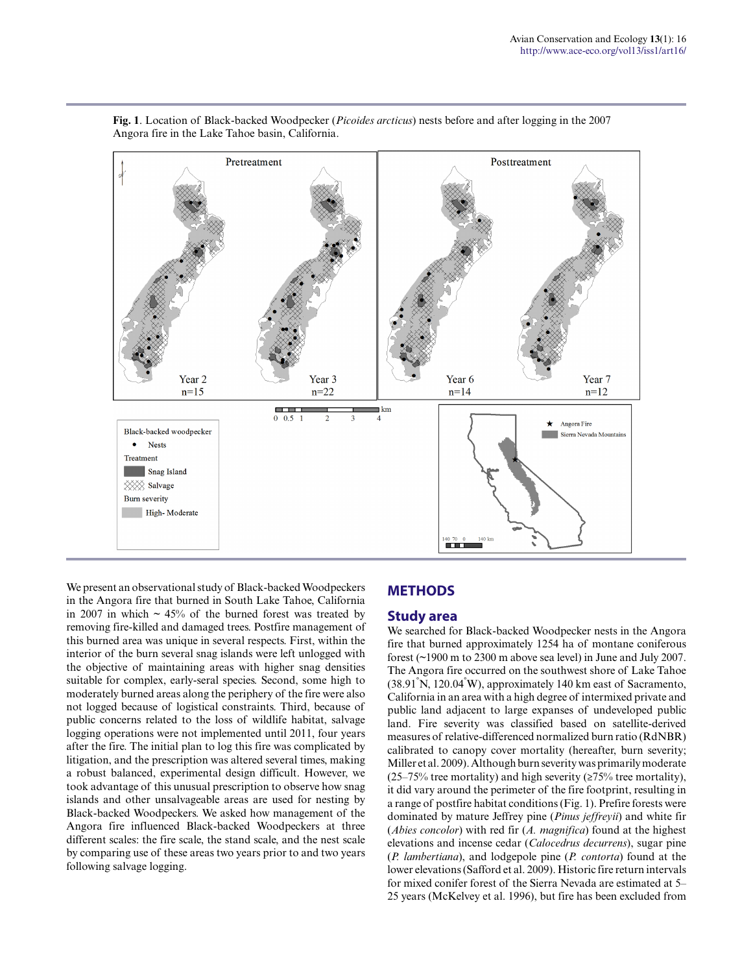

**Fig. 1**. Location of Black-backed Woodpecker (*Picoides arcticus*) nests before and after logging in the 2007 Angora fire in the Lake Tahoe basin, California.

We present an observational study of Black-backed Woodpeckers in the Angora fire that burned in South Lake Tahoe, California in 2007 in which  $\sim$  45% of the burned forest was treated by removing fire-killed and damaged trees. Postfire management of this burned area was unique in several respects. First, within the interior of the burn several snag islands were left unlogged with the objective of maintaining areas with higher snag densities suitable for complex, early-seral species. Second, some high to moderately burned areas along the periphery of the fire were also not logged because of logistical constraints. Third, because of public concerns related to the loss of wildlife habitat, salvage logging operations were not implemented until 2011, four years after the fire. The initial plan to log this fire was complicated by litigation, and the prescription was altered several times, making a robust balanced, experimental design difficult. However, we took advantage of this unusual prescription to observe how snag islands and other unsalvageable areas are used for nesting by Black-backed Woodpeckers. We asked how management of the Angora fire influenced Black-backed Woodpeckers at three different scales: the fire scale, the stand scale, and the nest scale by comparing use of these areas two years prior to and two years following salvage logging.

## **METHODS**

#### **Study area**

We searched for Black-backed Woodpecker nests in the Angora fire that burned approximately 1254 ha of montane coniferous forest (~1900 m to 2300 m above sea level) in June and July 2007. The Angora fire occurred on the southwest shore of Lake Tahoe (38.91°N, 120.04°W), approximately 140 km east of Sacramento, California in an area with a high degree of intermixed private and public land adjacent to large expanses of undeveloped public land. Fire severity was classified based on satellite-derived measures of relative-differenced normalized burn ratio (RdNBR) calibrated to canopy cover mortality (hereafter, burn severity; Miller et al. 2009). Although burn severity was primarily moderate (25–75% tree mortality) and high severity ( $\geq$ 75% tree mortality), it did vary around the perimeter of the fire footprint, resulting in a range of postfire habitat conditions (Fig. 1). Prefire forests were dominated by mature Jeffrey pine (*Pinus jeffreyii*) and white fir (*Abies concolor*) with red fir (*A. magnifica*) found at the highest elevations and incense cedar (*Calocedrus decurrens*), sugar pine (*P. lambertiana*), and lodgepole pine (*P. contorta*) found at the lower elevations (Safford et al. 2009). Historic fire return intervals for mixed conifer forest of the Sierra Nevada are estimated at 5– 25 years (McKelvey et al. 1996), but fire has been excluded from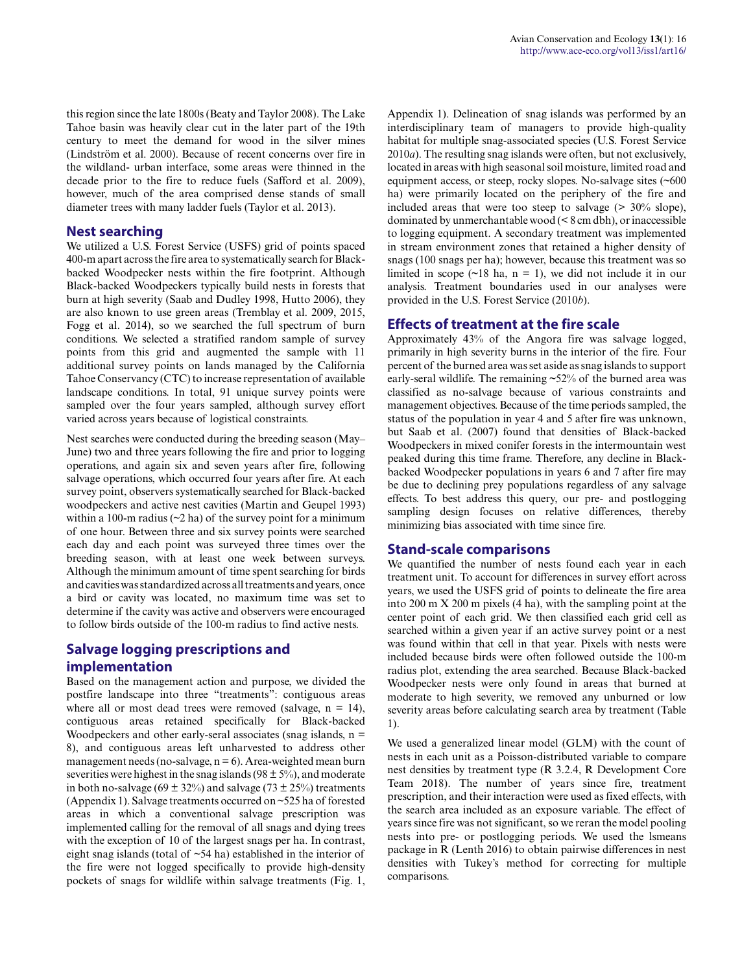this region since the late 1800s (Beaty and Taylor 2008). The Lake Tahoe basin was heavily clear cut in the later part of the 19th century to meet the demand for wood in the silver mines (Lindström et al. 2000). Because of recent concerns over fire in the wildland- urban interface, some areas were thinned in the decade prior to the fire to reduce fuels (Safford et al. 2009), however, much of the area comprised dense stands of small diameter trees with many ladder fuels (Taylor et al. 2013).

#### **Nest searching**

We utilized a U.S. Forest Service (USFS) grid of points spaced 400-m apart across the fire area to systematically search for Blackbacked Woodpecker nests within the fire footprint. Although Black-backed Woodpeckers typically build nests in forests that burn at high severity (Saab and Dudley 1998, Hutto 2006), they are also known to use green areas (Tremblay et al. 2009, 2015, Fogg et al. 2014), so we searched the full spectrum of burn conditions. We selected a stratified random sample of survey points from this grid and augmented the sample with 11 additional survey points on lands managed by the California Tahoe Conservancy (CTC) to increase representation of available landscape conditions. In total, 91 unique survey points were sampled over the four years sampled, although survey effort varied across years because of logistical constraints.

Nest searches were conducted during the breeding season (May– June) two and three years following the fire and prior to logging operations, and again six and seven years after fire, following salvage operations, which occurred four years after fire. At each survey point, observers systematically searched for Black-backed woodpeckers and active nest cavities (Martin and Geupel 1993) within a 100-m radius  $(\sim 2$  ha) of the survey point for a minimum of one hour. Between three and six survey points were searched each day and each point was surveyed three times over the breeding season, with at least one week between surveys. Although the minimum amount of time spent searching for birds and cavities was standardized across all treatments and years, once a bird or cavity was located, no maximum time was set to determine if the cavity was active and observers were encouraged to follow birds outside of the 100-m radius to find active nests.

# **Salvage logging prescriptions and implementation**

Based on the management action and purpose, we divided the postfire landscape into three "treatments": contiguous areas where all or most dead trees were removed (salvage,  $n = 14$ ), contiguous areas retained specifically for Black-backed Woodpeckers and other early-seral associates (snag islands,  $n =$ 8), and contiguous areas left unharvested to address other management needs (no-salvage,  $n = 6$ ). Area-weighted mean burn severities were highest in the snag islands ( $98 \pm 5\%$ ), and moderate in both no-salvage (69  $\pm$  32%) and salvage (73  $\pm$  25%) treatments (Appendix 1). Salvage treatments occurred on ~525 ha of forested areas in which a conventional salvage prescription was implemented calling for the removal of all snags and dying trees with the exception of 10 of the largest snags per ha. In contrast, eight snag islands (total of ~54 ha) established in the interior of the fire were not logged specifically to provide high-density pockets of snags for wildlife within salvage treatments (Fig. 1, Appendix 1). Delineation of snag islands was performed by an interdisciplinary team of managers to provide high-quality habitat for multiple snag-associated species (U.S. Forest Service 2010*a*). The resulting snag islands were often, but not exclusively, located in areas with high seasonal soil moisture, limited road and equipment access, or steep, rocky slopes. No-salvage sites (~600 ha) were primarily located on the periphery of the fire and included areas that were too steep to salvage  $(> 30\%$  slope), dominated by unmerchantable wood (< 8 cm dbh), or inaccessible to logging equipment. A secondary treatment was implemented in stream environment zones that retained a higher density of snags (100 snags per ha); however, because this treatment was so limited in scope  $(\sim 18$  ha,  $n = 1)$ , we did not include it in our analysis. Treatment boundaries used in our analyses were provided in the U.S. Forest Service (2010*b*).

#### **Effects of treatment at the fire scale**

Approximately 43% of the Angora fire was salvage logged, primarily in high severity burns in the interior of the fire. Four percent of the burned area was set aside as snag islands to support early-seral wildlife. The remaining  $\approx$ 52% of the burned area was classified as no-salvage because of various constraints and management objectives. Because of the time periods sampled, the status of the population in year 4 and 5 after fire was unknown, but Saab et al. (2007) found that densities of Black-backed Woodpeckers in mixed conifer forests in the intermountain west peaked during this time frame. Therefore, any decline in Blackbacked Woodpecker populations in years 6 and 7 after fire may be due to declining prey populations regardless of any salvage effects. To best address this query, our pre- and postlogging sampling design focuses on relative differences, thereby minimizing bias associated with time since fire.

#### **Stand-scale comparisons**

We quantified the number of nests found each year in each treatment unit. To account for differences in survey effort across years, we used the USFS grid of points to delineate the fire area into 200 m X 200 m pixels (4 ha), with the sampling point at the center point of each grid. We then classified each grid cell as searched within a given year if an active survey point or a nest was found within that cell in that year. Pixels with nests were included because birds were often followed outside the 100-m radius plot, extending the area searched. Because Black-backed Woodpecker nests were only found in areas that burned at moderate to high severity, we removed any unburned or low severity areas before calculating search area by treatment (Table 1).

We used a generalized linear model (GLM) with the count of nests in each unit as a Poisson-distributed variable to compare nest densities by treatment type (R 3.2.4, R Development Core Team 2018). The number of years since fire, treatment prescription, and their interaction were used as fixed effects, with the search area included as an exposure variable. The effect of years since fire was not significant, so we reran the model pooling nests into pre- or postlogging periods. We used the lsmeans package in R (Lenth 2016) to obtain pairwise differences in nest densities with Tukey's method for correcting for multiple comparisons.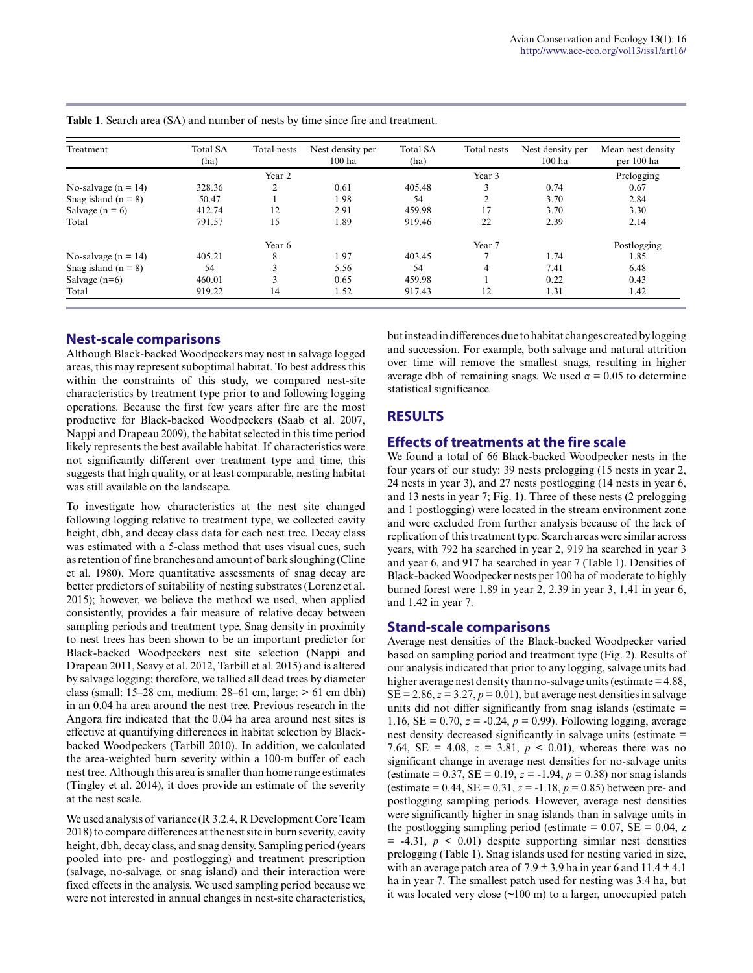| Treatment               | <b>Total SA</b><br>(ha) | Total nests       | Nest density per<br>$100$ ha | <b>Total SA</b><br>(ha) | Total nests | Nest density per<br>$100$ ha | Mean nest density<br>per 100 ha |
|-------------------------|-------------------------|-------------------|------------------------------|-------------------------|-------------|------------------------------|---------------------------------|
|                         |                         | Year <sub>2</sub> |                              |                         | Prelogging  |                              |                                 |
| No-salvage ( $n = 14$ ) | 328.36                  |                   | 0.61                         | 405.48                  | 3           | 0.74                         | 0.67                            |
| Snag island $(n = 8)$   | 50.47                   |                   | 1.98                         | 54                      | ↑           | 3.70                         | 2.84                            |
| Salvage $(n = 6)$       | 412.74                  | 12                | 2.91                         | 459.98                  | 17          | 3.70                         | 3.30                            |
| Total                   | 791.57                  | 15                | 1.89                         | 919.46                  | 22          | 2.39                         | 2.14                            |
|                         |                         | Year 6            |                              |                         | Year 7      |                              | Postlogging                     |
| No-salvage ( $n = 14$ ) | 405.21                  | 8                 | 1.97                         | 403.45                  |             | 1.74                         | 1.85                            |
| Snag island $(n = 8)$   | 54                      |                   | 5.56                         | 54                      | 4           | 7.41                         | 6.48                            |
| Salvage $(n=6)$         | 460.01                  |                   | 0.65                         | 459.98                  |             | 0.22                         | 0.43                            |
| Total                   | 919.22                  | 14                | 1.52                         | 917.43                  | 12          | 1.31                         | 1.42                            |

**Table 1**. Search area (SA) and number of nests by time since fire and treatment.

#### **Nest-scale comparisons**

Although Black-backed Woodpeckers may nest in salvage logged areas, this may represent suboptimal habitat. To best address this within the constraints of this study, we compared nest-site characteristics by treatment type prior to and following logging operations. Because the first few years after fire are the most productive for Black-backed Woodpeckers (Saab et al. 2007, Nappi and Drapeau 2009), the habitat selected in this time period likely represents the best available habitat. If characteristics were not significantly different over treatment type and time, this suggests that high quality, or at least comparable, nesting habitat was still available on the landscape.

To investigate how characteristics at the nest site changed following logging relative to treatment type, we collected cavity height, dbh, and decay class data for each nest tree. Decay class was estimated with a 5-class method that uses visual cues, such as retention of fine branches and amount of bark sloughing (Cline et al. 1980). More quantitative assessments of snag decay are better predictors of suitability of nesting substrates (Lorenz et al. 2015); however, we believe the method we used, when applied consistently, provides a fair measure of relative decay between sampling periods and treatment type. Snag density in proximity to nest trees has been shown to be an important predictor for Black-backed Woodpeckers nest site selection (Nappi and Drapeau 2011, Seavy et al. 2012, Tarbill et al. 2015) and is altered by salvage logging; therefore, we tallied all dead trees by diameter class (small:  $15-28$  cm, medium:  $28-61$  cm, large:  $> 61$  cm dbh) in an 0.04 ha area around the nest tree. Previous research in the Angora fire indicated that the 0.04 ha area around nest sites is effective at quantifying differences in habitat selection by Blackbacked Woodpeckers (Tarbill 2010). In addition, we calculated the area-weighted burn severity within a 100-m buffer of each nest tree. Although this area is smaller than home range estimates (Tingley et al. 2014), it does provide an estimate of the severity at the nest scale.

We used analysis of variance (R 3.2.4, R Development Core Team 2018) to compare differences at the nest site in burn severity, cavity height, dbh, decay class, and snag density. Sampling period (years pooled into pre- and postlogging) and treatment prescription (salvage, no-salvage, or snag island) and their interaction were fixed effects in the analysis. We used sampling period because we were not interested in annual changes in nest-site characteristics, but instead in differences due to habitat changes created by logging and succession. For example, both salvage and natural attrition over time will remove the smallest snags, resulting in higher average dbh of remaining snags. We used  $\alpha = 0.05$  to determine statistical significance.

## **RESULTS**

#### **Effects of treatments at the fire scale**

We found a total of 66 Black-backed Woodpecker nests in the four years of our study: 39 nests prelogging (15 nests in year 2, 24 nests in year 3), and 27 nests postlogging (14 nests in year 6, and 13 nests in year 7; Fig. 1). Three of these nests (2 prelogging and 1 postlogging) were located in the stream environment zone and were excluded from further analysis because of the lack of replication of this treatment type. Search areas were similar across years, with 792 ha searched in year 2, 919 ha searched in year 3 and year 6, and 917 ha searched in year 7 (Table 1). Densities of Black-backed Woodpecker nests per 100 ha of moderate to highly burned forest were 1.89 in year 2, 2.39 in year 3, 1.41 in year 6, and 1.42 in year 7.

## **Stand-scale comparisons**

Average nest densities of the Black-backed Woodpecker varied based on sampling period and treatment type (Fig. 2). Results of our analysis indicated that prior to any logging, salvage units had higher average nest density than no-salvage units (estimate = 4.88,  $SE = 2.86$ ,  $z = 3.27$ ,  $p = 0.01$ ), but average nest densities in salvage units did not differ significantly from snag islands (estimate = 1.16,  $SE = 0.70$ ,  $z = -0.24$ ,  $p = 0.99$ ). Following logging, average nest density decreased significantly in salvage units (estimate = 7.64, SE = 4.08,  $z = 3.81$ ,  $p < 0.01$ ), whereas there was no significant change in average nest densities for no-salvage units (estimate =  $0.37$ , SE =  $0.19$ ,  $z = -1.94$ ,  $p = 0.38$ ) nor snag islands (estimate =  $0.44$ , SE =  $0.31$ ,  $z = -1.18$ ,  $p = 0.85$ ) between pre- and postlogging sampling periods. However, average nest densities were significantly higher in snag islands than in salvage units in the postlogging sampling period (estimate =  $0.07$ , SE =  $0.04$ , z  $= -4.31, p \leq 0.01$  despite supporting similar nest densities prelogging (Table 1). Snag islands used for nesting varied in size, with an average patch area of  $7.9 \pm 3.9$  ha in year 6 and  $11.4 \pm 4.1$ ha in year 7. The smallest patch used for nesting was 3.4 ha, but it was located very close (~100 m) to a larger, unoccupied patch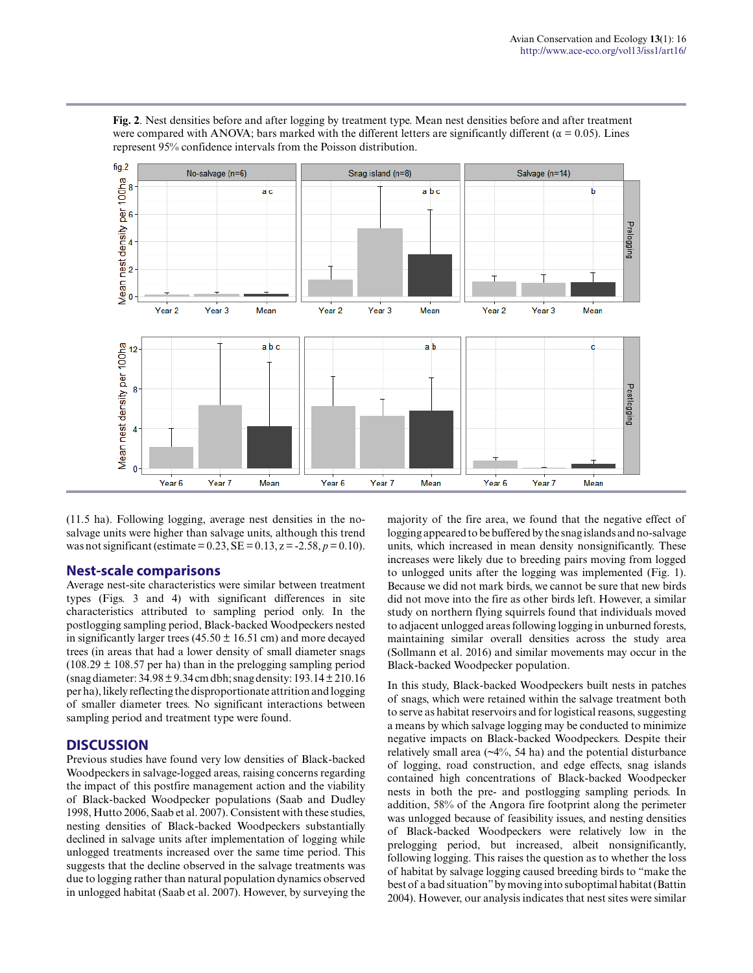

**Fig. 2**. Nest densities before and after logging by treatment type. Mean nest densities before and after treatment were compared with ANOVA; bars marked with the different letters are significantly different ( $\alpha$  = 0.05). Lines represent 95% confidence intervals from the Poisson distribution.

(11.5 ha). Following logging, average nest densities in the nosalvage units were higher than salvage units, although this trend was not significant (estimate =  $0.23$ , SE =  $0.13$ , z =  $-2.58$ ,  $p = 0.10$ ).

#### **Nest-scale comparisons**

Average nest-site characteristics were similar between treatment types (Figs. 3 and 4) with significant differences in site characteristics attributed to sampling period only. In the postlogging sampling period, Black-backed Woodpeckers nested in significantly larger trees (45.50  $\pm$  16.51 cm) and more decayed trees (in areas that had a lower density of small diameter snags  $(108.29 \pm 108.57)$  per ha) than in the prelogging sampling period (snag diameter: 34.98 ± 9.34 cm dbh; snag density: 193.14 ± 210.16 per ha), likely reflecting the disproportionate attrition and logging of smaller diameter trees. No significant interactions between sampling period and treatment type were found.

#### **DISCUSSION**

Previous studies have found very low densities of Black-backed Woodpeckers in salvage-logged areas, raising concerns regarding the impact of this postfire management action and the viability of Black-backed Woodpecker populations (Saab and Dudley 1998, Hutto 2006, Saab et al. 2007). Consistent with these studies, nesting densities of Black-backed Woodpeckers substantially declined in salvage units after implementation of logging while unlogged treatments increased over the same time period. This suggests that the decline observed in the salvage treatments was due to logging rather than natural population dynamics observed in unlogged habitat (Saab et al. 2007). However, by surveying the majority of the fire area, we found that the negative effect of logging appeared to be buffered by the snag islands and no-salvage units, which increased in mean density nonsignificantly. These increases were likely due to breeding pairs moving from logged to unlogged units after the logging was implemented (Fig. 1). Because we did not mark birds, we cannot be sure that new birds did not move into the fire as other birds left. However, a similar study on northern flying squirrels found that individuals moved to adjacent unlogged areas following logging in unburned forests, maintaining similar overall densities across the study area (Sollmann et al. 2016) and similar movements may occur in the Black-backed Woodpecker population.

In this study, Black-backed Woodpeckers built nests in patches of snags, which were retained within the salvage treatment both to serve as habitat reservoirs and for logistical reasons, suggesting a means by which salvage logging may be conducted to minimize negative impacts on Black-backed Woodpeckers. Despite their relatively small area (~4%, 54 ha) and the potential disturbance of logging, road construction, and edge effects, snag islands contained high concentrations of Black-backed Woodpecker nests in both the pre- and postlogging sampling periods. In addition, 58% of the Angora fire footprint along the perimeter was unlogged because of feasibility issues, and nesting densities of Black-backed Woodpeckers were relatively low in the prelogging period, but increased, albeit nonsignificantly, following logging. This raises the question as to whether the loss of habitat by salvage logging caused breeding birds to "make the best of a bad situation" by moving into suboptimal habitat (Battin 2004). However, our analysis indicates that nest sites were similar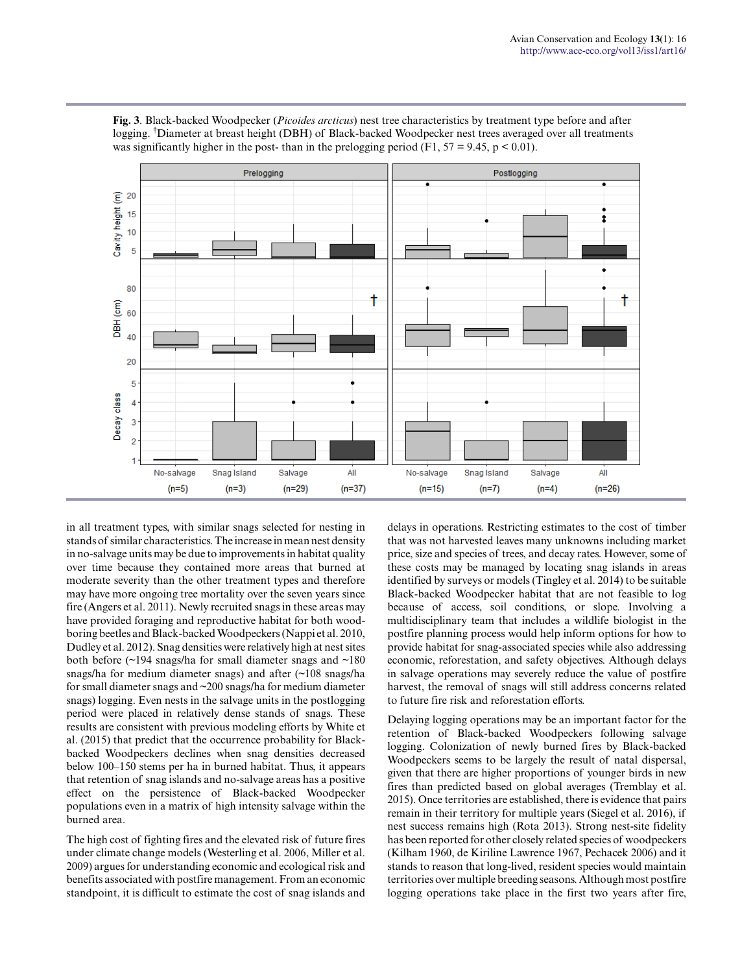

**Fig. 3**. Black-backed Woodpecker (*Picoides arcticus*) nest tree characteristics by treatment type before and after logging. †Diameter at breast height (DBH) of Black-backed Woodpecker nest trees averaged over all treatments was significantly higher in the post- than in the prelogging period (F1,  $57 = 9.45$ ,  $p < 0.01$ ).

in all treatment types, with similar snags selected for nesting in stands of similar characteristics. The increase in mean nest density in no-salvage units may be due to improvements in habitat quality over time because they contained more areas that burned at moderate severity than the other treatment types and therefore may have more ongoing tree mortality over the seven years since fire (Angers et al. 2011). Newly recruited snags in these areas may have provided foraging and reproductive habitat for both woodboring beetles and Black-backed Woodpeckers (Nappi et al. 2010, Dudley et al. 2012). Snag densities were relatively high at nest sites both before (~194 snags/ha for small diameter snags and ~180 snags/ha for medium diameter snags) and after (~108 snags/ha for small diameter snags and ~200 snags/ha for medium diameter snags) logging. Even nests in the salvage units in the postlogging period were placed in relatively dense stands of snags. These results are consistent with previous modeling efforts by White et al. (2015) that predict that the occurrence probability for Blackbacked Woodpeckers declines when snag densities decreased below 100–150 stems per ha in burned habitat. Thus, it appears that retention of snag islands and no-salvage areas has a positive effect on the persistence of Black-backed Woodpecker populations even in a matrix of high intensity salvage within the burned area.

The high cost of fighting fires and the elevated risk of future fires under climate change models (Westerling et al. 2006, Miller et al. 2009) argues for understanding economic and ecological risk and benefits associated with postfire management. From an economic standpoint, it is difficult to estimate the cost of snag islands and delays in operations. Restricting estimates to the cost of timber that was not harvested leaves many unknowns including market price, size and species of trees, and decay rates. However, some of these costs may be managed by locating snag islands in areas identified by surveys or models (Tingley et al. 2014) to be suitable Black-backed Woodpecker habitat that are not feasible to log because of access, soil conditions, or slope. Involving a multidisciplinary team that includes a wildlife biologist in the postfire planning process would help inform options for how to provide habitat for snag-associated species while also addressing economic, reforestation, and safety objectives. Although delays in salvage operations may severely reduce the value of postfire harvest, the removal of snags will still address concerns related to future fire risk and reforestation efforts.

Delaying logging operations may be an important factor for the retention of Black-backed Woodpeckers following salvage logging. Colonization of newly burned fires by Black-backed Woodpeckers seems to be largely the result of natal dispersal, given that there are higher proportions of younger birds in new fires than predicted based on global averages (Tremblay et al. 2015). Once territories are established, there is evidence that pairs remain in their territory for multiple years (Siegel et al. 2016), if nest success remains high (Rota 2013). Strong nest-site fidelity has been reported for other closely related species of woodpeckers (Kilham 1960, de Kiriline Lawrence 1967, Pechacek 2006) and it stands to reason that long-lived, resident species would maintain territories over multiple breeding seasons. Although most postfire logging operations take place in the first two years after fire,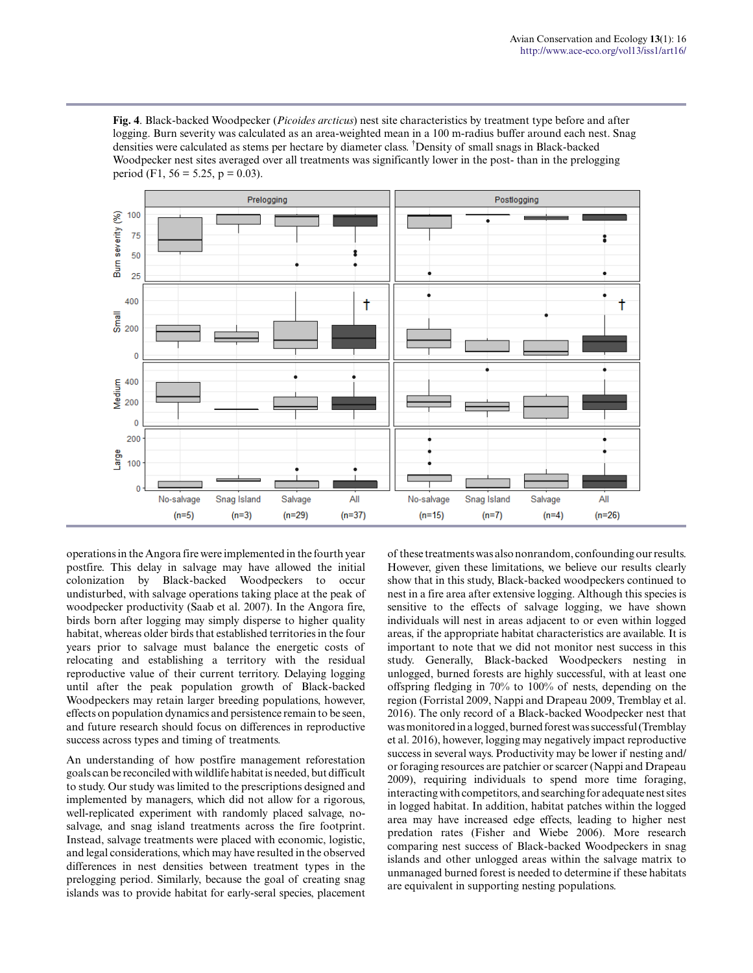**Fig. 4**. Black-backed Woodpecker (*Picoides arcticus*) nest site characteristics by treatment type before and after logging. Burn severity was calculated as an area-weighted mean in a 100 m-radius buffer around each nest. Snag densities were calculated as stems per hectare by diameter class. †Density of small snags in Black-backed Woodpecker nest sites averaged over all treatments was significantly lower in the post- than in the prelogging period (F1, 56 = 5.25, p = 0.03).



operations in the Angora fire were implemented in the fourth year postfire. This delay in salvage may have allowed the initial colonization by Black-backed Woodpeckers to occur undisturbed, with salvage operations taking place at the peak of woodpecker productivity (Saab et al. 2007). In the Angora fire, birds born after logging may simply disperse to higher quality habitat, whereas older birds that established territories in the four years prior to salvage must balance the energetic costs of relocating and establishing a territory with the residual reproductive value of their current territory. Delaying logging until after the peak population growth of Black-backed Woodpeckers may retain larger breeding populations, however, effects on population dynamics and persistence remain to be seen, and future research should focus on differences in reproductive success across types and timing of treatments.

An understanding of how postfire management reforestation goals can be reconciled with wildlife habitat is needed, but difficult to study. Our study was limited to the prescriptions designed and implemented by managers, which did not allow for a rigorous, well-replicated experiment with randomly placed salvage, nosalvage, and snag island treatments across the fire footprint. Instead, salvage treatments were placed with economic, logistic, and legal considerations, which may have resulted in the observed differences in nest densities between treatment types in the prelogging period. Similarly, because the goal of creating snag islands was to provide habitat for early-seral species, placement

of these treatments was also nonrandom, confounding our results. However, given these limitations, we believe our results clearly show that in this study, Black-backed woodpeckers continued to nest in a fire area after extensive logging. Although this species is sensitive to the effects of salvage logging, we have shown individuals will nest in areas adjacent to or even within logged areas, if the appropriate habitat characteristics are available. It is important to note that we did not monitor nest success in this study. Generally, Black-backed Woodpeckers nesting in unlogged, burned forests are highly successful, with at least one offspring fledging in 70% to 100% of nests, depending on the region (Forristal 2009, Nappi and Drapeau 2009, Tremblay et al. 2016). The only record of a Black-backed Woodpecker nest that was monitored in a logged, burned forest was successful (Tremblay et al. 2016), however, logging may negatively impact reproductive success in several ways. Productivity may be lower if nesting and/ or foraging resources are patchier or scarcer (Nappi and Drapeau 2009), requiring individuals to spend more time foraging, interacting with competitors, and searching for adequate nest sites in logged habitat. In addition, habitat patches within the logged area may have increased edge effects, leading to higher nest predation rates (Fisher and Wiebe 2006). More research comparing nest success of Black-backed Woodpeckers in snag islands and other unlogged areas within the salvage matrix to unmanaged burned forest is needed to determine if these habitats are equivalent in supporting nesting populations.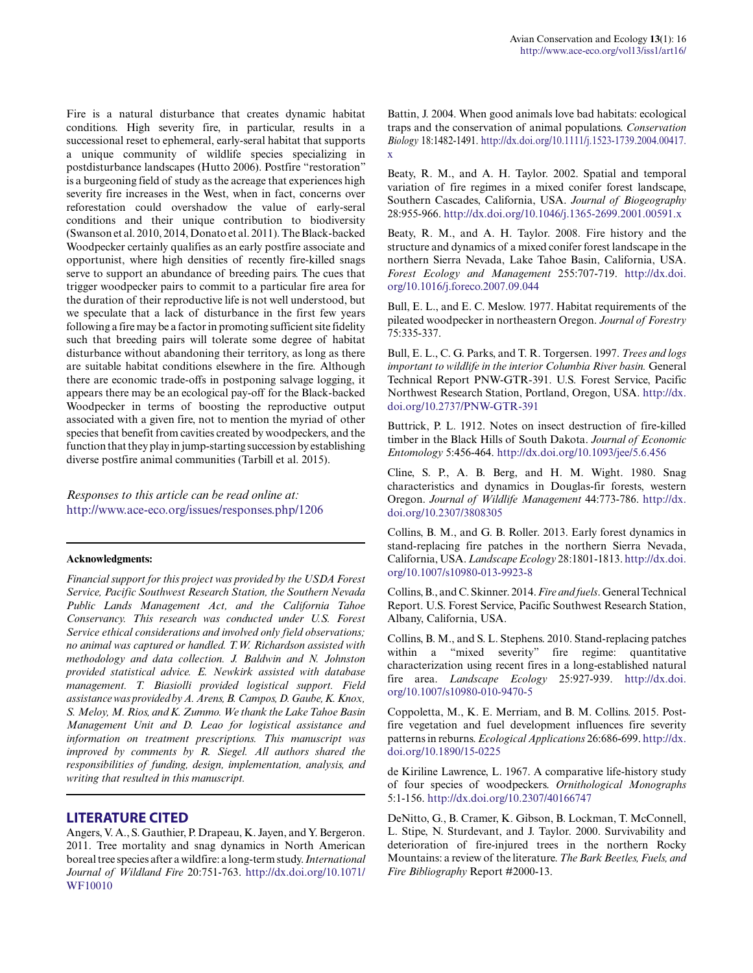Fire is a natural disturbance that creates dynamic habitat conditions. High severity fire, in particular, results in a successional reset to ephemeral, early-seral habitat that supports a unique community of wildlife species specializing in postdisturbance landscapes (Hutto 2006). Postfire "restoration" is a burgeoning field of study as the acreage that experiences high severity fire increases in the West, when in fact, concerns over reforestation could overshadow the value of early-seral conditions and their unique contribution to biodiversity (Swanson et al. 2010, 2014, Donato et al. 2011). The Black-backed Woodpecker certainly qualifies as an early postfire associate and opportunist, where high densities of recently fire-killed snags serve to support an abundance of breeding pairs. The cues that trigger woodpecker pairs to commit to a particular fire area for the duration of their reproductive life is not well understood, but we speculate that a lack of disturbance in the first few years following a fire may be a factor in promoting sufficient site fidelity such that breeding pairs will tolerate some degree of habitat disturbance without abandoning their territory, as long as there are suitable habitat conditions elsewhere in the fire. Although there are economic trade-offs in postponing salvage logging, it appears there may be an ecological pay-off for the Black-backed Woodpecker in terms of boosting the reproductive output associated with a given fire, not to mention the myriad of other species that benefit from cavities created by woodpeckers, and the function that they play in jump-starting succession by establishing diverse postfire animal communities (Tarbill et al. 2015).

#### *Responses to this article can be read online at:* <http://www.ace-eco.org/issues/responses.php/1206>

#### **Acknowledgments:**

*Financial support for this project was provided by the USDA Forest Service, Pacific Southwest Research Station, the Southern Nevada Public Lands Management Act, and the California Tahoe Conservancy. This research was conducted under U.S. Forest Service ethical considerations and involved only field observations; no animal was captured or handled. T.W. Richardson assisted with methodology and data collection. J. Baldwin and N. Johnston provided statistical advice. E. Newkirk assisted with database management. T. Biasiolli provided logistical support. Field assistance was provided by A. Arens, B. Campos, D. Gaube, K. Knox, S. Meloy, M. Rios, and K. Zummo. We thank the Lake Tahoe Basin Management Unit and D. Leao for logistical assistance and information on treatment prescriptions. This manuscript was improved by comments by R. Siegel. All authors shared the responsibilities of funding, design, implementation, analysis, and writing that resulted in this manuscript.*

#### **LITERATURE CITED**

Angers, V. A., S. Gauthier, P. Drapeau, K. Jayen, and Y. Bergeron. 2011. Tree mortality and snag dynamics in North American boreal tree species after a wildfire: a long-term study. *International Journal of Wildland Fire* 20:751-763. [http://dx.doi.org/10.1071/](http://dx.doi.org/10.1071%2FWF10010) [WF10010](http://dx.doi.org/10.1071%2FWF10010)

Battin, J. 2004. When good animals love bad habitats: ecological traps and the conservation of animal populations. *Conservation Biology* 18:1482-1491. [http://dx.doi.org/10.1111/j.1523-1739.2004.00417.](http://dx.doi.org/10.1111%2Fj.1523-1739.2004.00417.x) [x](http://dx.doi.org/10.1111%2Fj.1523-1739.2004.00417.x) 

Beaty, R. M., and A. H. Taylor. 2002. Spatial and temporal variation of fire regimes in a mixed conifer forest landscape, Southern Cascades, California, USA. *Journal of Biogeography* 28:955-966. [http://dx.doi.org/10.1046/j.1365-2699.2001.00591.x](http://dx.doi.org/10.1046%2Fj.1365-2699.2001.00591.x)

Beaty, R. M., and A. H. Taylor. 2008. Fire history and the structure and dynamics of a mixed conifer forest landscape in the northern Sierra Nevada, Lake Tahoe Basin, California, USA. *Forest Ecology and Management* 255:707-719. [http://dx.doi.](http://dx.doi.org/10.1016%2Fj.foreco.2007.09.044) [org/10.1016/j.foreco.2007.09.044](http://dx.doi.org/10.1016%2Fj.foreco.2007.09.044)

Bull, E. L., and E. C. Meslow. 1977. Habitat requirements of the pileated woodpecker in northeastern Oregon. *Journal of Forestry* 75:335-337.

Bull, E. L., C. G. Parks, and T. R. Torgersen. 1997. *Trees and logs important to wildlife in the interior Columbia River basin.* General Technical Report PNW-GTR-391. U.S. Forest Service, Pacific Northwest Research Station, Portland, Oregon, USA. [http://dx.](http://dx.doi.org/10.2737%2FPNW-GTR-391) [doi.org/10.2737/PNW-GTR-391](http://dx.doi.org/10.2737%2FPNW-GTR-391) 

Buttrick, P. L. 1912. Notes on insect destruction of fire-killed timber in the Black Hills of South Dakota. *Journal of Economic Entomology* 5:456-464. [http://dx.doi.org/10.1093/jee/5.6.456](http://dx.doi.org/10.1093%2Fjee%2F5.6.456) 

Cline, S. P., A. B. Berg, and H. M. Wight. 1980. Snag characteristics and dynamics in Douglas-fir forests, western Oregon. *Journal of Wildlife Management* 44:773-786. [http://dx.](http://dx.doi.org/10.2307%2F3808305) [doi.org/10.2307/3808305](http://dx.doi.org/10.2307%2F3808305) 

Collins, B. M., and G. B. Roller. 2013. Early forest dynamics in stand-replacing fire patches in the northern Sierra Nevada, California, USA. *Landscape Ecology* 28:1801-1813. [http://dx.doi.](http://dx.doi.org/10.1007%2Fs10980-013-9923-8) [org/10.1007/s10980-013-9923-8](http://dx.doi.org/10.1007%2Fs10980-013-9923-8)

Collins, B., and C. Skinner. 2014. *Fire and fuels*. General Technical Report. U.S. Forest Service, Pacific Southwest Research Station, Albany, California, USA.

Collins, B. M., and S. L. Stephens. 2010. Stand-replacing patches within a "mixed severity" fire regime: quantitative characterization using recent fires in a long-established natural fire area. *Landscape Ecology* 25:927-939. [http://dx.doi.](http://dx.doi.org/10.1007%2Fs10980-010-9470-5) [org/10.1007/s10980-010-9470-5](http://dx.doi.org/10.1007%2Fs10980-010-9470-5)

Coppoletta, M., K. E. Merriam, and B. M. Collins. 2015. Postfire vegetation and fuel development influences fire severity patterns in reburns. *Ecological Applications* 26:686-699. [http://dx.](http://dx.doi.org/10.1890%2F15-0225) [doi.org/10.1890/15-0225](http://dx.doi.org/10.1890%2F15-0225) 

de Kiriline Lawrence, L. 1967. A comparative life-history study of four species of woodpeckers. *Ornithological Monographs* 5:1-156. [http://dx.doi.org/10.2307/40166747](http://dx.doi.org/10.2307%2F40166747) 

DeNitto, G., B. Cramer, K. Gibson, B. Lockman, T. McConnell, L. Stipe, N. Sturdevant, and J. Taylor. 2000. Survivability and deterioration of fire-injured trees in the northern Rocky Mountains: a review of the literature. *The Bark Beetles, Fuels, and Fire Bibliography* Report #2000-13.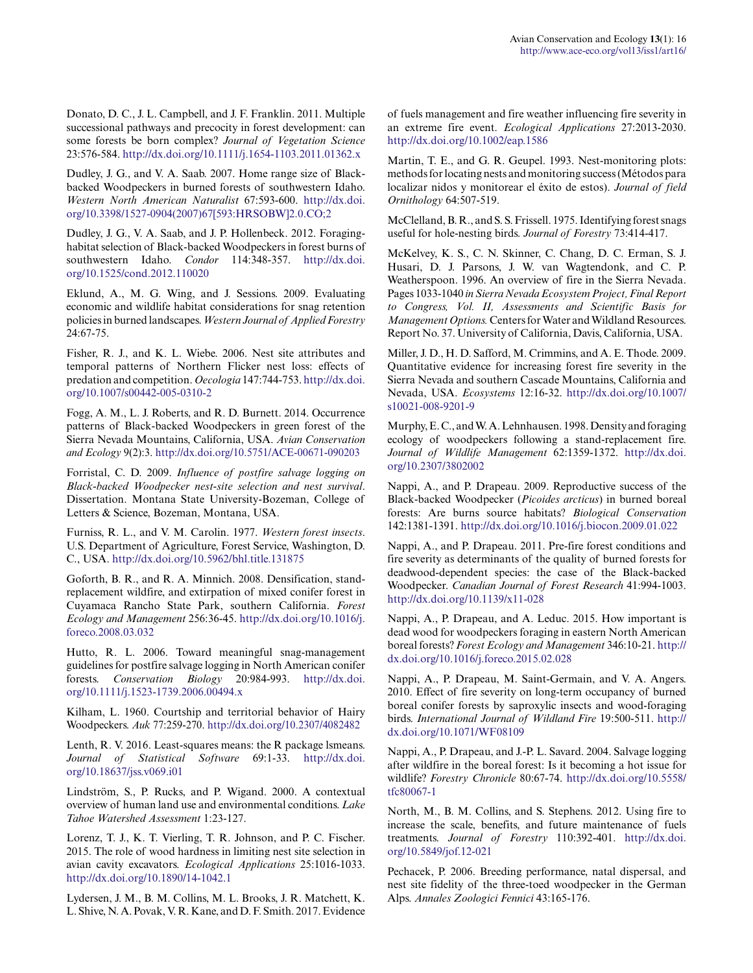Donato, D. C., J. L. Campbell, and J. F. Franklin. 2011. Multiple successional pathways and precocity in forest development: can some forests be born complex? *Journal of Vegetation Science* 23:576-584. [http://dx.doi.org/10.1111/j.1654-1103.2011.01362.x](http://dx.doi.org/10.1111%2Fj.1654-1103.2011.01362.x)

Dudley, J. G., and V. A. Saab. 2007. Home range size of Blackbacked Woodpeckers in burned forests of southwestern Idaho. *Western North American Naturalist* 67:593-600. [http://dx.doi.](http://dx.doi.org/10.3398%2F1527-0904%282007%2967%5B593%3AHRSOBW%5D2.0.CO%3B2) [org/10.3398/1527-0904\(2007\)67\[593:HRSOBW\]2.0.CO;2](http://dx.doi.org/10.3398%2F1527-0904%282007%2967%5B593%3AHRSOBW%5D2.0.CO%3B2)

Dudley, J. G., V. A. Saab, and J. P. Hollenbeck. 2012. Foraginghabitat selection of Black-backed Woodpeckers in forest burns of southwestern Idaho. *Condor* 114:348-357. [http://dx.doi.](http://dx.doi.org/10.1525%2Fcond.2012.110020) [org/10.1525/cond.2012.110020](http://dx.doi.org/10.1525%2Fcond.2012.110020) 

Eklund, A., M. G. Wing, and J. Sessions. 2009. Evaluating economic and wildlife habitat considerations for snag retention policies in burned landscapes. *Western Journal of Applied Forestry* 24:67-75.

Fisher, R. J., and K. L. Wiebe. 2006. Nest site attributes and temporal patterns of Northern Flicker nest loss: effects of predation and competition. *Oecologia* 147:744-753. [http://dx.doi.](http://dx.doi.org/10.1007%2Fs00442-005-0310-2) [org/10.1007/s00442-005-0310-2](http://dx.doi.org/10.1007%2Fs00442-005-0310-2)

Fogg, A. M., L. J. Roberts, and R. D. Burnett. 2014. Occurrence patterns of Black-backed Woodpeckers in green forest of the Sierra Nevada Mountains, California, USA. *Avian Conservation and Ecology* 9(2):3. [http://dx.doi.org/10.5751/ACE-00671-090203](http://dx.doi.org/10.5751%2FACE-00671-090203) 

Forristal, C. D. 2009. *Influence of postfire salvage logging on Black-backed Woodpecker nest-site selection and nest survival*. Dissertation. Montana State University-Bozeman, College of Letters & Science, Bozeman, Montana, USA.

Furniss, R. L., and V. M. Carolin. 1977. *Western forest insects*. U.S. Department of Agriculture, Forest Service, Washington, D. C., USA. [http://dx.doi.org/10.5962/bhl.title.131875](http://dx.doi.org/10.5962%2Fbhl.title.131875)

Goforth, B. R., and R. A. Minnich. 2008. Densification, standreplacement wildfire, and extirpation of mixed conifer forest in Cuyamaca Rancho State Park, southern California. *Forest Ecology and Management* 256:36-45. [http://dx.doi.org/10.1016/j.](http://dx.doi.org/10.1016%2Fj.foreco.2008.03.032) [foreco.2008.03.032](http://dx.doi.org/10.1016%2Fj.foreco.2008.03.032)

Hutto, R. L. 2006. Toward meaningful snag-management guidelines for postfire salvage logging in North American conifer forests. *Conservation Biology* 20:984-993. [http://dx.doi.](http://dx.doi.org/10.1111%2Fj.1523-1739.2006.00494.x) [org/10.1111/j.1523-1739.2006.00494.x](http://dx.doi.org/10.1111%2Fj.1523-1739.2006.00494.x)

Kilham, L. 1960. Courtship and territorial behavior of Hairy Woodpeckers. *Auk* 77:259-270. [http://dx.doi.org/10.2307/4082482](http://dx.doi.org/10.2307%2F4082482) 

Lenth, R. V. 2016. Least-squares means: the R package lsmeans. *Journal of Statistical Software* 69:1-33. [http://dx.doi.](http://dx.doi.org/10.18637%2Fjss.v069.i01) [org/10.18637/jss.v069.i01](http://dx.doi.org/10.18637%2Fjss.v069.i01) 

Lindström, S., P. Rucks, and P. Wigand. 2000. A contextual overview of human land use and environmental conditions. *Lake Tahoe Watershed Assessment* 1:23-127.

Lorenz, T. J., K. T. Vierling, T. R. Johnson, and P. C. Fischer. 2015. The role of wood hardness in limiting nest site selection in avian cavity excavators. *Ecological Applications* 25:1016-1033. [http://dx.doi.org/10.1890/14-1042.1](http://dx.doi.org/10.1890%2F14-1042.1)

Lydersen, J. M., B. M. Collins, M. L. Brooks, J. R. Matchett, K. L. Shive, N. A. Povak, V. R. Kane, and D. F. Smith. 2017. Evidence of fuels management and fire weather influencing fire severity in an extreme fire event. *Ecological Applications* 27:2013-2030. [http://dx.doi.org/10.1002/eap.1586](http://dx.doi.org/10.1002%2Feap.1586)

Martin, T. E., and G. R. Geupel. 1993. Nest-monitoring plots: methods for locating nests and monitoring success (Métodos para localizar nidos y monitorear el éxito de estos). *Journal of field Ornithology* 64:507-519.

McClelland, B. R., and S. S. Frissell. 1975. Identifying forest snags useful for hole-nesting birds. *Journal of Forestry* 73:414-417.

McKelvey, K. S., C. N. Skinner, C. Chang, D. C. Erman, S. J. Husari, D. J. Parsons, J. W. van Wagtendonk, and C. P. Weatherspoon. 1996. An overview of fire in the Sierra Nevada. Pages 1033-1040 *in Sierra Nevada Ecosystem Project, Final Report to Congress, Vol. II, Assessments and Scientific Basis for Management Options.* Centers for Water and Wildland Resources. Report No. 37. University of California, Davis, California, USA.

Miller, J. D., H. D. Safford, M. Crimmins, and A. E. Thode. 2009. Quantitative evidence for increasing forest fire severity in the Sierra Nevada and southern Cascade Mountains, California and Nevada, USA. *Ecosystems* 12:16-32. [http://dx.doi.org/10.1007/](http://dx.doi.org/10.1007%2Fs10021-008-9201-9) [s10021-008-9201-9](http://dx.doi.org/10.1007%2Fs10021-008-9201-9) 

Murphy, E. C., and W. A. Lehnhausen. 1998. Density and foraging ecology of woodpeckers following a stand-replacement fire. *Journal of Wildlife Management* 62:1359-1372. [http://dx.doi.](http://dx.doi.org/10.2307%2F3802002) [org/10.2307/3802002](http://dx.doi.org/10.2307%2F3802002) 

Nappi, A., and P. Drapeau. 2009. Reproductive success of the Black-backed Woodpecker (*Picoides arcticus*) in burned boreal forests: Are burns source habitats? *Biological Conservation* 142:1381-1391. [http://dx.doi.org/10.1016/j.biocon.2009.01.022](http://dx.doi.org/10.1016%2Fj.biocon.2009.01.022) 

Nappi, A., and P. Drapeau. 2011. Pre-fire forest conditions and fire severity as determinants of the quality of burned forests for deadwood-dependent species: the case of the Black-backed Woodpecker. *Canadian Journal of Forest Research* 41:994-1003. [http://dx.doi.org/10.1139/x11-028](http://dx.doi.org/10.1139%2Fx11-028)

Nappi, A., P. Drapeau, and A. Leduc. 2015. How important is dead wood for woodpeckers foraging in eastern North American boreal forests? *Forest Ecology and Management* 346:10-21. [http://](http://dx.doi.org/10.1016%2Fj.foreco.2015.02.028) [dx.doi.org/10.1016/j.foreco.2015.02.028](http://dx.doi.org/10.1016%2Fj.foreco.2015.02.028) 

Nappi, A., P. Drapeau, M. Saint-Germain, and V. A. Angers. 2010. Effect of fire severity on long-term occupancy of burned boreal conifer forests by saproxylic insects and wood-foraging birds. *International Journal of Wildland Fire* 19:500-511. [http://](http://dx.doi.org/10.1071%2FWF08109) [dx.doi.org/10.1071/WF08109](http://dx.doi.org/10.1071%2FWF08109)

Nappi, A., P. Drapeau, and J.-P. L. Savard. 2004. Salvage logging after wildfire in the boreal forest: Is it becoming a hot issue for wildlife? *Forestry Chronicle* 80:67-74. [http://dx.doi.org/10.5558/](http://dx.doi.org/10.5558%2Ftfc80067-1) [tfc80067-1](http://dx.doi.org/10.5558%2Ftfc80067-1) 

North, M., B. M. Collins, and S. Stephens. 2012. Using fire to increase the scale, benefits, and future maintenance of fuels treatments. *Journal of Forestry* 110:392-401. [http://dx.doi.](http://dx.doi.org/10.5849%2Fjof.12-021) [org/10.5849/jof.12-021](http://dx.doi.org/10.5849%2Fjof.12-021)

Pechacek, P. 2006. Breeding performance, natal dispersal, and nest site fidelity of the three-toed woodpecker in the German Alps. *Annales Zoologici Fennici* 43:165-176.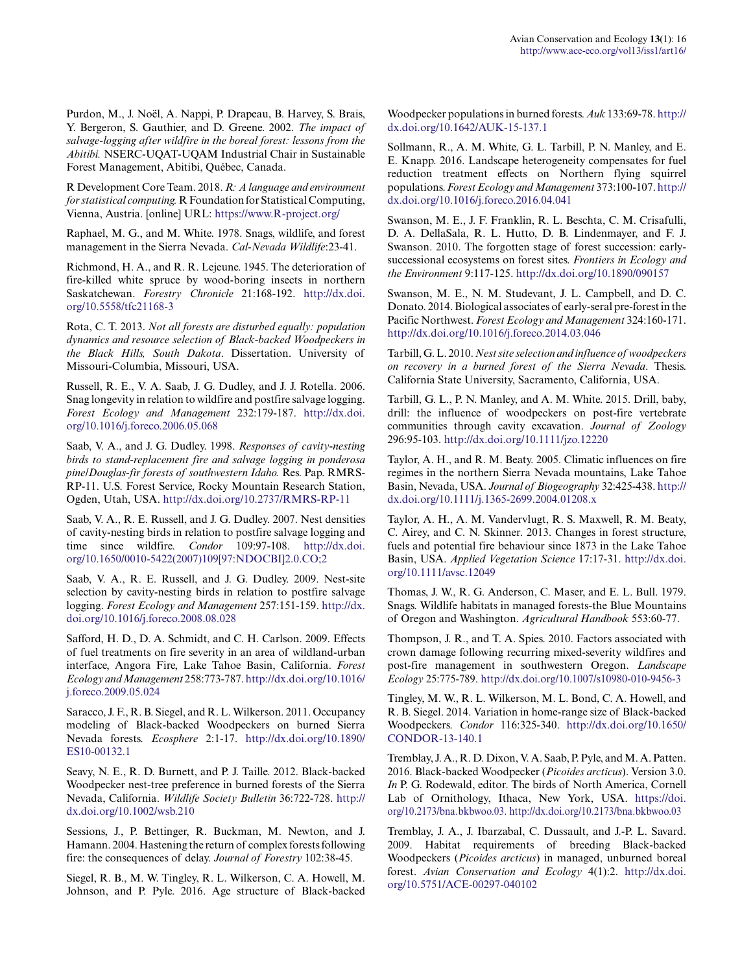Purdon, M., J. Noël, A. Nappi, P. Drapeau, B. Harvey, S. Brais, Y. Bergeron, S. Gauthier, and D. Greene. 2002. *The impact of salvage-logging after wildfire in the boreal forest: lessons from the Abitibi.* NSERC-UQAT-UQAM Industrial Chair in Sustainable Forest Management, Abitibi, Québec, Canada.

R Development Core Team. 2018. *R: A language and environment for statistical computing.* R Foundation for Statistical Computing, Vienna, Austria. [online] URL: <https://www.R-project.org/>

Raphael, M. G., and M. White. 1978. Snags, wildlife, and forest management in the Sierra Nevada. *Cal-Nevada Wildlife*:23-41.

Richmond, H. A., and R. R. Lejeune. 1945. The deterioration of fire-killed white spruce by wood-boring insects in northern Saskatchewan. *Forestry Chronicle* 21:168-192. [http://dx.doi.](http://dx.doi.org/10.5558%2Ftfc21168-3) [org/10.5558/tfc21168-3](http://dx.doi.org/10.5558%2Ftfc21168-3)

Rota, C. T. 2013. *Not all forests are disturbed equally: population dynamics and resource selection of Black-backed Woodpeckers in the Black Hills, South Dakota*. Dissertation. University of Missouri-Columbia, Missouri, USA.

Russell, R. E., V. A. Saab, J. G. Dudley, and J. J. Rotella. 2006. Snag longevity in relation to wildfire and postfire salvage logging. *Forest Ecology and Management* 232:179-187. [http://dx.doi.](http://dx.doi.org/10.1016%2Fj.foreco.2006.05.068) [org/10.1016/j.foreco.2006.05.068](http://dx.doi.org/10.1016%2Fj.foreco.2006.05.068)

Saab, V. A., and J. G. Dudley. 1998. *Responses of cavity-nesting birds to stand-replacement fire and salvage logging in ponderosa pine/Douglas-fir forests of southwestern Idaho.* Res. Pap. RMRS-RP-11. U.S. Forest Service, Rocky Mountain Research Station, Ogden, Utah, USA. [http://dx.doi.org/10.2737/RMRS-RP-11](http://dx.doi.org/10.2737%2FRMRS-RP-11)

Saab, V. A., R. E. Russell, and J. G. Dudley. 2007. Nest densities of cavity-nesting birds in relation to postfire salvage logging and time since wildfire. *Condor* 109:97-108. [http://dx.doi.](http://dx.doi.org/10.1650%2F0010-5422%282007%29109%5B97%3ANDOCBI%5D2.0.CO%3B2) [org/10.1650/0010-5422\(2007\)109\[97:NDOCBI\]2.0.CO;2](http://dx.doi.org/10.1650%2F0010-5422%282007%29109%5B97%3ANDOCBI%5D2.0.CO%3B2) 

Saab, V. A., R. E. Russell, and J. G. Dudley. 2009. Nest-site selection by cavity-nesting birds in relation to postfire salvage logging. *Forest Ecology and Management* 257:151-159. [http://dx.](http://dx.doi.org/10.1016%2Fj.foreco.2008.08.028) [doi.org/10.1016/j.foreco.2008.08.028](http://dx.doi.org/10.1016%2Fj.foreco.2008.08.028)

Safford, H. D., D. A. Schmidt, and C. H. Carlson. 2009. Effects of fuel treatments on fire severity in an area of wildland-urban interface, Angora Fire, Lake Tahoe Basin, California. *Forest Ecology and Management* 258:773-787. [http://dx.doi.org/10.1016/](http://dx.doi.org/10.1016%2Fj.foreco.2009.05.024) [j.foreco.2009.05.024](http://dx.doi.org/10.1016%2Fj.foreco.2009.05.024)

Saracco, J. F., R. B. Siegel, and R. L. Wilkerson. 2011. Occupancy modeling of Black-backed Woodpeckers on burned Sierra Nevada forests. *Ecosphere* 2:1-17. [http://dx.doi.org/10.1890/](http://dx.doi.org/10.1890%2FES10-00132.1) [ES10-00132.1](http://dx.doi.org/10.1890%2FES10-00132.1)

Seavy, N. E., R. D. Burnett, and P. J. Taille. 2012. Black-backed Woodpecker nest-tree preference in burned forests of the Sierra Nevada, California. *Wildlife Society Bulletin* 36:722-728. [http://](http://dx.doi.org/10.1002%2Fwsb.210) [dx.doi.org/10.1002/wsb.210](http://dx.doi.org/10.1002%2Fwsb.210)

Sessions, J., P. Bettinger, R. Buckman, M. Newton, and J. Hamann. 2004. Hastening the return of complex forests following fire: the consequences of delay. *Journal of Forestry* 102:38-45.

Siegel, R. B., M. W. Tingley, R. L. Wilkerson, C. A. Howell, M. Johnson, and P. Pyle. 2016. Age structure of Black-backed Woodpecker populations in burned forests. *Auk* 133:69-78. [http://](http://dx.doi.org/10.1642%2FAUK-15-137.1) [dx.doi.org/10.1642/AUK-15-137.1](http://dx.doi.org/10.1642%2FAUK-15-137.1)

Sollmann, R., A. M. White, G. L. Tarbill, P. N. Manley, and E. E. Knapp. 2016. Landscape heterogeneity compensates for fuel reduction treatment effects on Northern flying squirrel populations. *Forest Ecology and Management* 373:100-107. [http://](http://dx.doi.org/10.1016%2Fj.foreco.2016.04.041) [dx.doi.org/10.1016/j.foreco.2016.04.041](http://dx.doi.org/10.1016%2Fj.foreco.2016.04.041) 

Swanson, M. E., J. F. Franklin, R. L. Beschta, C. M. Crisafulli, D. A. DellaSala, R. L. Hutto, D. B. Lindenmayer, and F. J. Swanson. 2010. The forgotten stage of forest succession: earlysuccessional ecosystems on forest sites. *Frontiers in Ecology and the Environment* 9:117-125. [http://dx.doi.org/10.1890/090157](http://dx.doi.org/10.1890%2F090157)

Swanson, M. E., N. M. Studevant, J. L. Campbell, and D. C. Donato. 2014. Biological associates of early-seral pre-forest in the Pacific Northwest. *Forest Ecology and Management* 324:160-171. [http://dx.doi.org/10.1016/j.foreco.2014.03.046](http://dx.doi.org/10.1016%2Fj.foreco.2014.03.046)

Tarbill, G. L. 2010. *Nest site selection and influence of woodpeckers on recovery in a burned forest of the Sierra Nevada*. Thesis. California State University, Sacramento, California, USA.

Tarbill, G. L., P. N. Manley, and A. M. White. 2015. Drill, baby, drill: the influence of woodpeckers on post-fire vertebrate communities through cavity excavation. *Journal of Zoology* 296:95-103. [http://dx.doi.org/10.1111/jzo.12220](http://dx.doi.org/10.1111%2Fjzo.12220)

Taylor, A. H., and R. M. Beaty. 2005. Climatic influences on fire regimes in the northern Sierra Nevada mountains, Lake Tahoe Basin, Nevada, USA. *Journal of Biogeography* 32:425-438. [http://](http://dx.doi.org/10.1111%2Fj.1365-2699.2004.01208.x) [dx.doi.org/10.1111/j.1365-2699.2004.01208.x](http://dx.doi.org/10.1111%2Fj.1365-2699.2004.01208.x)

Taylor, A. H., A. M. Vandervlugt, R. S. Maxwell, R. M. Beaty, C. Airey, and C. N. Skinner. 2013. Changes in forest structure, fuels and potential fire behaviour since 1873 in the Lake Tahoe Basin, USA. *Applied Vegetation Science* 17:17-31. [http://dx.doi.](http://dx.doi.org/10.1111%2Favsc.12049) [org/10.1111/avsc.12049](http://dx.doi.org/10.1111%2Favsc.12049) 

Thomas, J. W., R. G. Anderson, C. Maser, and E. L. Bull. 1979. Snags. Wildlife habitats in managed forests-the Blue Mountains of Oregon and Washington. *Agricultural Handbook* 553:60-77.

Thompson, J. R., and T. A. Spies. 2010. Factors associated with crown damage following recurring mixed-severity wildfires and post-fire management in southwestern Oregon. *Landscape Ecology* 25:775-789. [http://dx.doi.org/10.1007/s10980-010-9456-3](http://dx.doi.org/10.1007%2Fs10980-010-9456-3) 

Tingley, M. W., R. L. Wilkerson, M. L. Bond, C. A. Howell, and R. B. Siegel. 2014. Variation in home-range size of Black-backed Woodpeckers. *Condor* 116:325-340. [http://dx.doi.org/10.1650/](http://dx.doi.org/10.1650%2FCONDOR-13-140.1) [CONDOR-13-140.1](http://dx.doi.org/10.1650%2FCONDOR-13-140.1) 

Tremblay, J. A., R. D. Dixon, V. A. Saab, P. Pyle, and M. A. Patten. 2016. Black-backed Woodpecker (*Picoides arcticus*). Version 3.0. *In* P. G. Rodewald, editor. The birds of North America, Cornell Lab of Ornithology, Ithaca, New York, USA. [https://doi.](https://doi.org/10.2173/bna.bkbwoo.03.) [org/10.2173/bna.bkbwoo.03.](https://doi.org/10.2173/bna.bkbwoo.03.) [http://dx.doi.org/10.2173/bna.bkbwoo.03](http://dx.doi.org/10.2173%2Fbna.bkbwoo.03) 

Tremblay, J. A., J. Ibarzabal, C. Dussault, and J.-P. L. Savard. 2009. Habitat requirements of breeding Black-backed Woodpeckers (*Picoides arcticus*) in managed, unburned boreal forest. *Avian Conservation and Ecology* 4(1):2. [http://dx.doi.](http://dx.doi.org/10.5751%2FACE-00297-040102) [org/10.5751/ACE-00297-040102](http://dx.doi.org/10.5751%2FACE-00297-040102)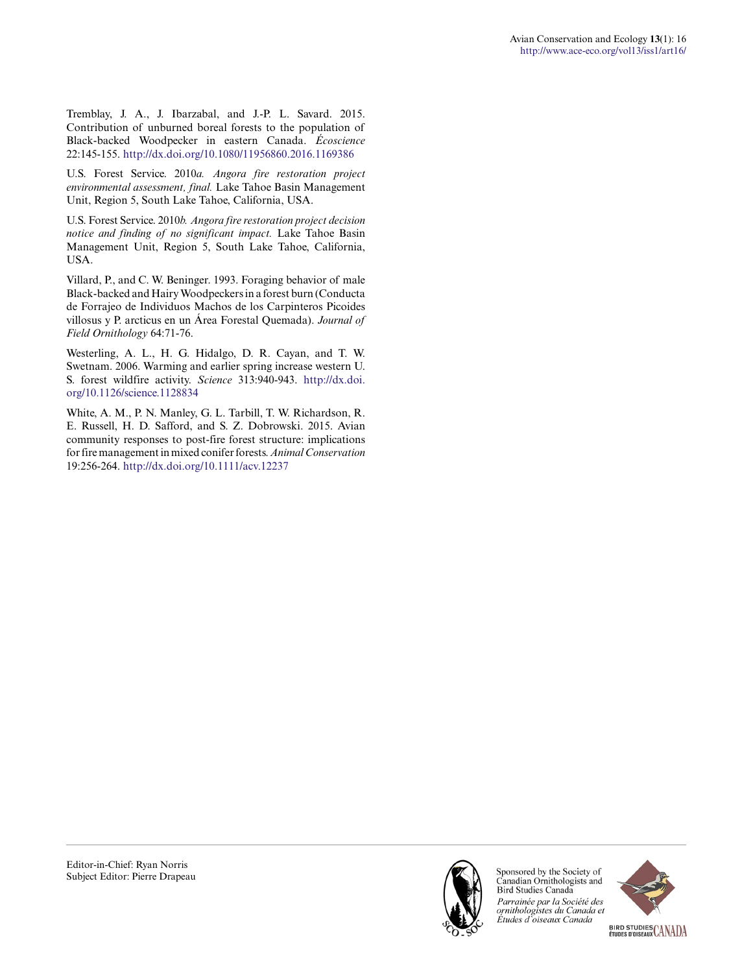Tremblay, J. A., J. Ibarzabal, and J.-P. L. Savard. 2015. Contribution of unburned boreal forests to the population of Black-backed Woodpecker in eastern Canada. *Écoscience* 22:145-155. [http://dx.doi.org/10.1080/11956860.2016.1169386](http://dx.doi.org/10.1080%2F11956860.2016.1169386) 

U.S. Forest Service. 2010*a. Angora fire restoration project environmental assessment, final.* Lake Tahoe Basin Management Unit, Region 5, South Lake Tahoe, California, USA.

U.S. Forest Service. 2010*b. Angora fire restoration project decision notice and finding of no significant impact.* Lake Tahoe Basin Management Unit, Region 5, South Lake Tahoe, California, USA.

Villard, P., and C. W. Beninger. 1993. Foraging behavior of male Black-backed and Hairy Woodpeckers in a forest burn (Conducta de Forrajeo de Individuos Machos de los Carpinteros Picoides villosus y P. arcticus en un Área Forestal Quemada). *Journal of Field Ornithology* 64:71-76.

Westerling, A. L., H. G. Hidalgo, D. R. Cayan, and T. W. Swetnam. 2006. Warming and earlier spring increase western U. S. forest wildfire activity. *Science* 313:940-943. [http://dx.doi.](http://dx.doi.org/10.1126%2Fscience.1128834) [org/10.1126/science.1128834](http://dx.doi.org/10.1126%2Fscience.1128834)

White, A. M., P. N. Manley, G. L. Tarbill, T. W. Richardson, R. E. Russell, H. D. Safford, and S. Z. Dobrowski. 2015. Avian community responses to post-fire forest structure: implications for fire management in mixed conifer forests. *Animal Conservation* 19:256-264. [http://dx.doi.org/10.1111/acv.12237](http://dx.doi.org/10.1111%2Facv.12237)



Sponsored by the Society of Canadian Ornithologists and Bird Studies Canada Parrainée par la Société des ornithologistes du Canada et<br>Études d`oiseaux Canada